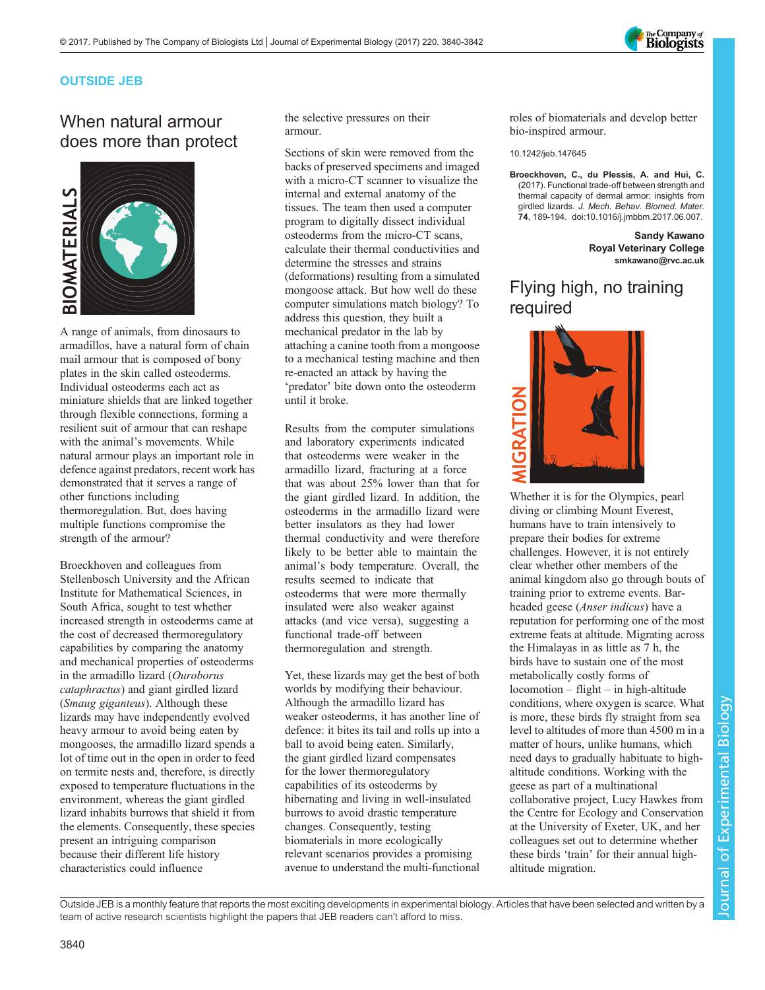

### OUTSIDE JEB

# When natural armour does more than protect



A range of animals, from dinosaurs to armadillos, have a natural form of chain mail armour that is composed of bony plates in the skin called osteoderms. Individual osteoderms each act as miniature shields that are linked together through flexible connections, forming a resilient suit of armour that can reshape with the animal's movements. While natural armour plays an important role in defence against predators, recent work has demonstrated that it serves a range of other functions including thermoregulation. But, does having multiple functions compromise the strength of the armour?

Broeckhoven and colleagues from Stellenbosch University and the African Institute for Mathematical Sciences, in South Africa, sought to test whether increased strength in osteoderms came at the cost of decreased thermoregulatory capabilities by comparing the anatomy and mechanical properties of osteoderms in the armadillo lizard (Ouroborus cataphractus) and giant girdled lizard (Smaug giganteus). Although these lizards may have independently evolved heavy armour to avoid being eaten by mongooses, the armadillo lizard spends a lot of time out in the open in order to feed on termite nests and, therefore, is directly exposed to temperature fluctuations in the environment, whereas the giant girdled lizard inhabits burrows that shield it from the elements. Consequently, these species present an intriguing comparison because their different life history characteristics could influence

the selective pressures on their armour.

Sections of skin were removed from the backs of preserved specimens and imaged with a micro-CT scanner to visualize the internal and external anatomy of the tissues. The team then used a computer program to digitally dissect individual osteoderms from the micro-CT scans, calculate their thermal conductivities and determine the stresses and strains (deformations) resulting from a simulated mongoose attack. But how well do these computer simulations match biology? To address this question, they built a mechanical predator in the lab by attaching a canine tooth from a mongoose to a mechanical testing machine and then re-enacted an attack by having the 'predator' bite down onto the osteoderm until it broke.

Results from the computer simulations and laboratory experiments indicated that osteoderms were weaker in the armadillo lizard, fracturing at a force that was about 25% lower than that for the giant girdled lizard. In addition, the osteoderms in the armadillo lizard were better insulators as they had lower thermal conductivity and were therefore likely to be better able to maintain the animal's body temperature. Overall, the results seemed to indicate that osteoderms that were more thermally insulated were also weaker against attacks (and vice versa), suggesting a functional trade-off between thermoregulation and strength.

Yet, these lizards may get the best of both worlds by modifying their behaviour. Although the armadillo lizard has weaker osteoderms, it has another line of defence: it bites its tail and rolls up into a ball to avoid being eaten. Similarly, the giant girdled lizard compensates for the lower thermoregulatory capabilities of its osteoderms by hibernating and living in well-insulated burrows to avoid drastic temperature changes. Consequently, testing biomaterials in more ecologically relevant scenarios provides a promising avenue to understand the multi-functional

roles of biomaterials and develop better bio-inspired armour.

#### 10.1242/jeb.147645

[Broeckhoven, C., du Plessis, A. and Hui, C.](http://dx.doi.org/10.1016/j.jmbbm.2017.06.007) [\(2017\). Functional trade-off between strength and](http://dx.doi.org/10.1016/j.jmbbm.2017.06.007) [thermal capacity of dermal armor: insights from](http://dx.doi.org/10.1016/j.jmbbm.2017.06.007) girdled lizards. [J. Mech. Behav. Biomed. Mater.](http://dx.doi.org/10.1016/j.jmbbm.2017.06.007) 74[, 189-194. doi:10.1016/j.jmbbm.2017.06.007.](http://dx.doi.org/10.1016/j.jmbbm.2017.06.007)

> Sandy Kawano Royal Veterinary College [smkawano@rvc.ac.uk](mailto:smkawano@rvc.ac.uk)

## Flying high, no training required



Whether it is for the Olympics, pearl diving or climbing Mount Everest, humans have to train intensively to prepare their bodies for extreme challenges. However, it is not entirely clear whether other members of the animal kingdom also go through bouts of training prior to extreme events. Barheaded geese (Anser indicus) have a reputation for performing one of the most extreme feats at altitude. Migrating across the Himalayas in as little as 7 h, the birds have to sustain one of the most metabolically costly forms of locomotion – flight – in high-altitude conditions, where oxygen is scarce. What is more, these birds fly straight from sea level to altitudes of more than 4500 m in a matter of hours, unlike humans, which need days to gradually habituate to highaltitude conditions. Working with the geese as part of a multinational collaborative project, Lucy Hawkes from the Centre for Ecology and Conservation at the University of Exeter, UK, and her colleagues set out to determine whether these birds 'train' for their annual highaltitude migration.

Outside JEB is a monthly feature that reports the most exciting developments in experimental biology. Articles that have been selected and written by a team of active research scientists highlight the papers that JEB readers can't afford to miss.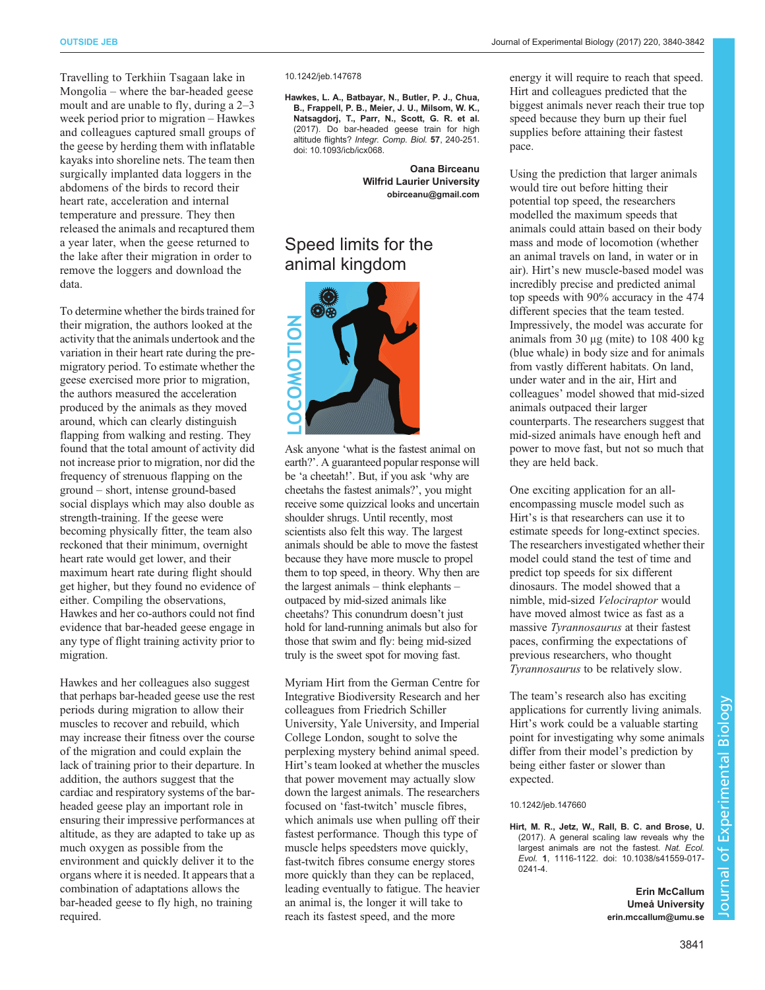Travelling to Terkhiin Tsagaan lake in Mongolia – where the bar-headed geese moult and are unable to fly, during a 2–3 week period prior to migration – Hawkes and colleagues captured small groups of the geese by herding them with inflatable kayaks into shoreline nets. The team then surgically implanted data loggers in the abdomens of the birds to record their heart rate, acceleration and internal temperature and pressure. They then released the animals and recaptured them a year later, when the geese returned to the lake after their migration in order to remove the loggers and download the data.

To determine whether the birds trained for their migration, the authors looked at the activity that the animals undertook and the variation in their heart rate during the premigratory period. To estimate whether the geese exercised more prior to migration, the authors measured the acceleration produced by the animals as they moved around, which can clearly distinguish flapping from walking and resting. They found that the total amount of activity did not increase prior to migration, nor did the frequency of strenuous flapping on the ground – short, intense ground-based social displays which may also double as strength-training. If the geese were becoming physically fitter, the team also reckoned that their minimum, overnight heart rate would get lower, and their maximum heart rate during flight should get higher, but they found no evidence of either. Compiling the observations, Hawkes and her co-authors could not find evidence that bar-headed geese engage in any type of flight training activity prior to migration.

Hawkes and her colleagues also suggest that perhaps bar-headed geese use the rest periods during migration to allow their muscles to recover and rebuild, which may increase their fitness over the course of the migration and could explain the lack of training prior to their departure. In addition, the authors suggest that the cardiac and respiratory systems of the barheaded geese play an important role in ensuring their impressive performances at altitude, as they are adapted to take up as much oxygen as possible from the environment and quickly deliver it to the organs where it is needed. It appears that a combination of adaptations allows the bar-headed geese to fly high, no training required.

10.1242/jeb.147678

[Hawkes, L. A., Batbayar, N., Butler, P. J., Chua,](http://dx.doi.org/10.1093/icb/icx068) [B., Frappell, P. B., Meier, J. U., Milsom, W. K.,](http://dx.doi.org/10.1093/icb/icx068) [Natsagdorj, T., Parr, N., Scott, G. R. et al.](http://dx.doi.org/10.1093/icb/icx068) [\(2017\). Do bar-headed geese train for high](http://dx.doi.org/10.1093/icb/icx068) altitude flights? [Integr. Comp. Biol.](http://dx.doi.org/10.1093/icb/icx068) 57, 240-251. [doi: 10.1093/icb/icx068.](http://dx.doi.org/10.1093/icb/icx068)

> Oana Birceanu Wilfrid Laurier University [obirceanu@gmail.com](mailto:obirceanu@gmail.com)

# Speed limits for the animal kingdom



Ask anyone 'what is the fastest animal on earth?'. A guaranteed popular response will be 'a cheetah!'. But, if you ask 'why are cheetahs the fastest animals?', you might receive some quizzical looks and uncertain shoulder shrugs. Until recently, most scientists also felt this way. The largest animals should be able to move the fastest because they have more muscle to propel them to top speed, in theory. Why then are the largest animals – think elephants – outpaced by mid-sized animals like cheetahs? This conundrum doesn't just hold for land-running animals but also for those that swim and fly: being mid-sized truly is the sweet spot for moving fast.

Myriam Hirt from the German Centre for Integrative Biodiversity Research and her colleagues from Friedrich Schiller University, Yale University, and Imperial College London, sought to solve the perplexing mystery behind animal speed. Hirt's team looked at whether the muscles that power movement may actually slow down the largest animals. The researchers focused on 'fast-twitch' muscle fibres, which animals use when pulling off their fastest performance. Though this type of muscle helps speedsters move quickly, fast-twitch fibres consume energy stores more quickly than they can be replaced, leading eventually to fatigue. The heavier an animal is, the longer it will take to reach its fastest speed, and the more

energy it will require to reach that speed. Hirt and colleagues predicted that the biggest animals never reach their true top speed because they burn up their fuel supplies before attaining their fastest pace.

Using the prediction that larger animals would tire out before hitting their potential top speed, the researchers modelled the maximum speeds that animals could attain based on their body mass and mode of locomotion (whether an animal travels on land, in water or in air). Hirt's new muscle-based model was incredibly precise and predicted animal top speeds with 90% accuracy in the 474 different species that the team tested. Impressively, the model was accurate for animals from 30 μg (mite) to 108 400 kg (blue whale) in body size and for animals from vastly different habitats. On land, under water and in the air, Hirt and colleagues' model showed that mid-sized animals outpaced their larger counterparts. The researchers suggest that mid-sized animals have enough heft and power to move fast, but not so much that they are held back.

One exciting application for an allencompassing muscle model such as Hirt's is that researchers can use it to estimate speeds for long-extinct species. The researchers investigated whether their model could stand the test of time and predict top speeds for six different dinosaurs. The model showed that a nimble, mid-sized Velociraptor would have moved almost twice as fast as a massive Tyrannosaurus at their fastest paces, confirming the expectations of previous researchers, who thought Tyrannosaurus to be relatively slow.

The team's research also has exciting applications for currently living animals. Hirt's work could be a valuable starting point for investigating why some animals differ from their model's prediction by being either faster or slower than expected.

#### 10.1242/jeb.147660

[Hirt, M. R., Jetz, W., Rall, B. C. and Brose, U.](http://dx.doi.org/10.1038/s41559-017-0241-4) [\(2017\). A general scaling law reveals why the](http://dx.doi.org/10.1038/s41559-017-0241-4) [largest animals are not the fastest.](http://dx.doi.org/10.1038/s41559-017-0241-4) Nat. Ecol. Evol. 1[, 1116-1122. doi: 10.1038/s41559-017-](http://dx.doi.org/10.1038/s41559-017-0241-4) [0241-4.](http://dx.doi.org/10.1038/s41559-017-0241-4)

> Erin McCallum Umeå University [erin.mccallum@umu.se](mailto:erin.mccallum@umu.se)